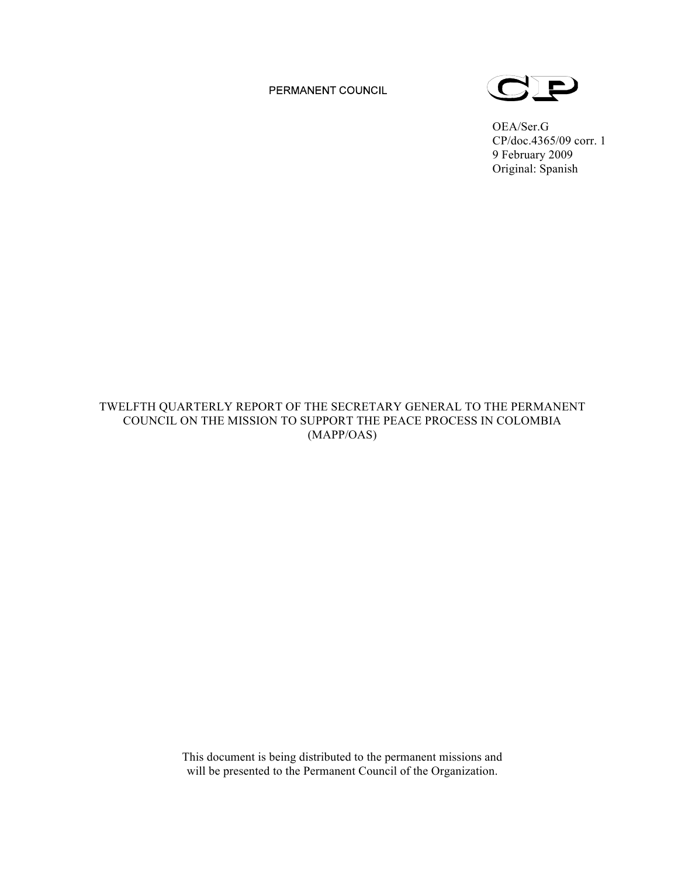PERMANENT COUNCIL



OEA/Ser.G CP/doc.4365/09 corr. 1 9 February 2009 Original: Spanish

TWELFTH QUARTERLY REPORT OF THE SECRETARY GENERAL TO THE PERMANENT COUNCIL ON THE MISSION TO SUPPORT THE PEACE PROCESS IN COLOMBIA (MAPP/OAS)

> This document is being distributed to the permanent missions and will be presented to the Permanent Council of the Organization.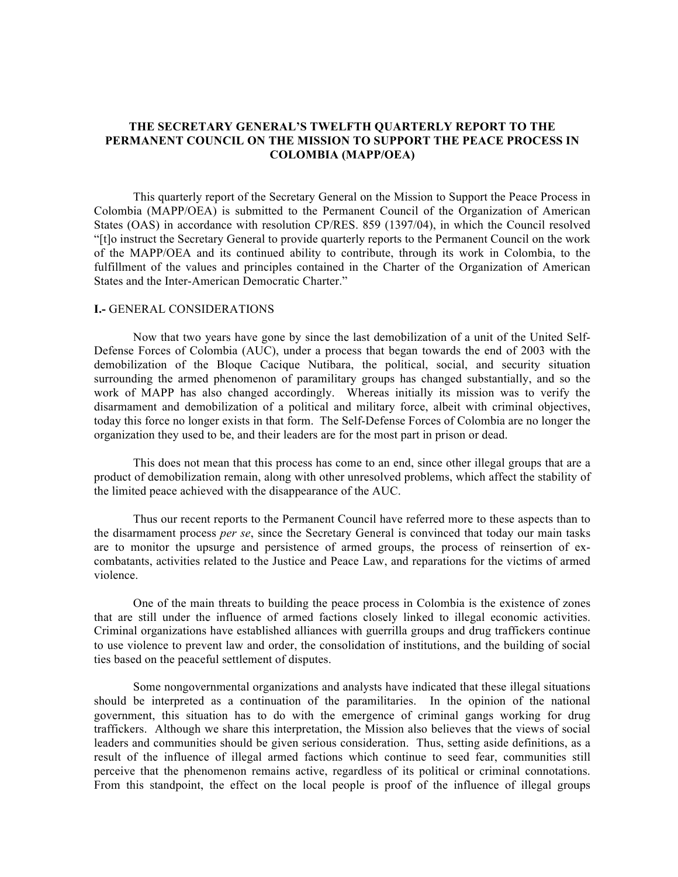### **THE SECRETARY GENERAL'S TWELFTH QUARTERLY REPORT TO THE PERMANENT COUNCIL ON THE MISSION TO SUPPORT THE PEACE PROCESS IN COLOMBIA (MAPP/OEA)**

This quarterly report of the Secretary General on the Mission to Support the Peace Process in Colombia (MAPP/OEA) is submitted to the Permanent Council of the Organization of American States (OAS) in accordance with resolution CP/RES. 859 (1397/04), in which the Council resolved "[t]o instruct the Secretary General to provide quarterly reports to the Permanent Council on the work of the MAPP/OEA and its continued ability to contribute, through its work in Colombia, to the fulfillment of the values and principles contained in the Charter of the Organization of American States and the Inter-American Democratic Charter."

#### **I.-** GENERAL CONSIDERATIONS

Now that two years have gone by since the last demobilization of a unit of the United Self-Defense Forces of Colombia (AUC), under a process that began towards the end of 2003 with the demobilization of the Bloque Cacique Nutibara, the political, social, and security situation surrounding the armed phenomenon of paramilitary groups has changed substantially, and so the work of MAPP has also changed accordingly. Whereas initially its mission was to verify the disarmament and demobilization of a political and military force, albeit with criminal objectives, today this force no longer exists in that form. The Self-Defense Forces of Colombia are no longer the organization they used to be, and their leaders are for the most part in prison or dead.

This does not mean that this process has come to an end, since other illegal groups that are a product of demobilization remain, along with other unresolved problems, which affect the stability of the limited peace achieved with the disappearance of the AUC.

Thus our recent reports to the Permanent Council have referred more to these aspects than to the disarmament process *per se*, since the Secretary General is convinced that today our main tasks are to monitor the upsurge and persistence of armed groups, the process of reinsertion of excombatants, activities related to the Justice and Peace Law, and reparations for the victims of armed violence.

One of the main threats to building the peace process in Colombia is the existence of zones that are still under the influence of armed factions closely linked to illegal economic activities. Criminal organizations have established alliances with guerrilla groups and drug traffickers continue to use violence to prevent law and order, the consolidation of institutions, and the building of social ties based on the peaceful settlement of disputes.

Some nongovernmental organizations and analysts have indicated that these illegal situations should be interpreted as a continuation of the paramilitaries. In the opinion of the national government, this situation has to do with the emergence of criminal gangs working for drug traffickers. Although we share this interpretation, the Mission also believes that the views of social leaders and communities should be given serious consideration. Thus, setting aside definitions, as a result of the influence of illegal armed factions which continue to seed fear, communities still perceive that the phenomenon remains active, regardless of its political or criminal connotations. From this standpoint, the effect on the local people is proof of the influence of illegal groups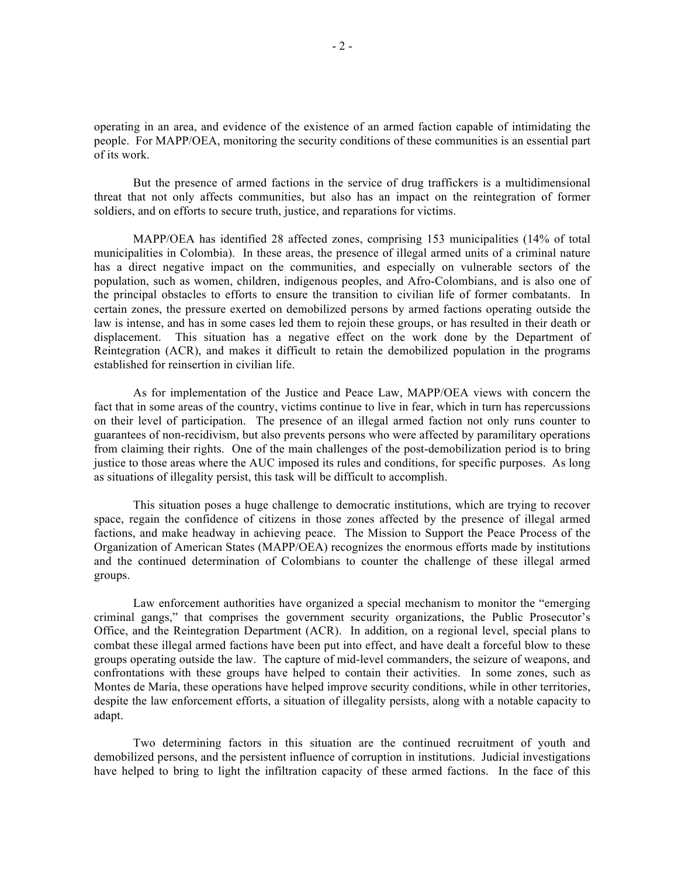operating in an area, and evidence of the existence of an armed faction capable of intimidating the people. For MAPP/OEA, monitoring the security conditions of these communities is an essential part of its work.

But the presence of armed factions in the service of drug traffickers is a multidimensional threat that not only affects communities, but also has an impact on the reintegration of former soldiers, and on efforts to secure truth, justice, and reparations for victims.

MAPP/OEA has identified 28 affected zones, comprising 153 municipalities (14% of total municipalities in Colombia). In these areas, the presence of illegal armed units of a criminal nature has a direct negative impact on the communities, and especially on vulnerable sectors of the population, such as women, children, indigenous peoples, and Afro-Colombians, and is also one of the principal obstacles to efforts to ensure the transition to civilian life of former combatants. In certain zones, the pressure exerted on demobilized persons by armed factions operating outside the law is intense, and has in some cases led them to rejoin these groups, or has resulted in their death or displacement. This situation has a negative effect on the work done by the Department of Reintegration (ACR), and makes it difficult to retain the demobilized population in the programs established for reinsertion in civilian life.

As for implementation of the Justice and Peace Law, MAPP/OEA views with concern the fact that in some areas of the country, victims continue to live in fear, which in turn has repercussions on their level of participation. The presence of an illegal armed faction not only runs counter to guarantees of non-recidivism, but also prevents persons who were affected by paramilitary operations from claiming their rights. One of the main challenges of the post-demobilization period is to bring justice to those areas where the AUC imposed its rules and conditions, for specific purposes. As long as situations of illegality persist, this task will be difficult to accomplish.

This situation poses a huge challenge to democratic institutions, which are trying to recover space, regain the confidence of citizens in those zones affected by the presence of illegal armed factions, and make headway in achieving peace. The Mission to Support the Peace Process of the Organization of American States (MAPP/OEA) recognizes the enormous efforts made by institutions and the continued determination of Colombians to counter the challenge of these illegal armed groups.

Law enforcement authorities have organized a special mechanism to monitor the "emerging criminal gangs," that comprises the government security organizations, the Public Prosecutor's Office, and the Reintegration Department (ACR). In addition, on a regional level, special plans to combat these illegal armed factions have been put into effect, and have dealt a forceful blow to these groups operating outside the law. The capture of mid-level commanders, the seizure of weapons, and confrontations with these groups have helped to contain their activities. In some zones, such as Montes de María, these operations have helped improve security conditions, while in other territories, despite the law enforcement efforts, a situation of illegality persists, along with a notable capacity to adapt.

Two determining factors in this situation are the continued recruitment of youth and demobilized persons, and the persistent influence of corruption in institutions. Judicial investigations have helped to bring to light the infiltration capacity of these armed factions. In the face of this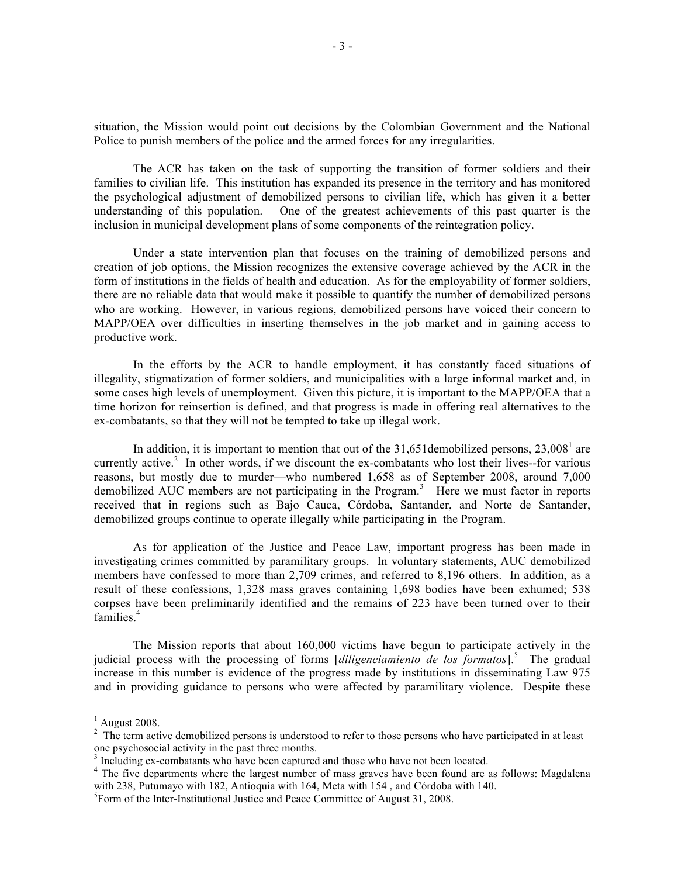situation, the Mission would point out decisions by the Colombian Government and the National Police to punish members of the police and the armed forces for any irregularities.

The ACR has taken on the task of supporting the transition of former soldiers and their families to civilian life. This institution has expanded its presence in the territory and has monitored the psychological adjustment of demobilized persons to civilian life, which has given it a better understanding of this population. One of the greatest achievements of this past quarter is the inclusion in municipal development plans of some components of the reintegration policy.

Under a state intervention plan that focuses on the training of demobilized persons and creation of job options, the Mission recognizes the extensive coverage achieved by the ACR in the form of institutions in the fields of health and education. As for the employability of former soldiers, there are no reliable data that would make it possible to quantify the number of demobilized persons who are working. However, in various regions, demobilized persons have voiced their concern to MAPP/OEA over difficulties in inserting themselves in the job market and in gaining access to productive work.

In the efforts by the ACR to handle employment, it has constantly faced situations of illegality, stigmatization of former soldiers, and municipalities with a large informal market and, in some cases high levels of unemployment. Given this picture, it is important to the MAPP/OEA that a time horizon for reinsertion is defined, and that progress is made in offering real alternatives to the ex-combatants, so that they will not be tempted to take up illegal work.

In addition, it is important to mention that out of the 31,651 demobilized persons,  $23,008<sup>1</sup>$  are currently active.<sup>2</sup> In other words, if we discount the ex-combatants who lost their lives--for various reasons, but mostly due to murder—who numbered 1,658 as of September 2008, around 7,000 demobilized AUC members are not participating in the Program.<sup>3</sup> Here we must factor in reports received that in regions such as Bajo Cauca, Córdoba, Santander, and Norte de Santander, demobilized groups continue to operate illegally while participating in the Program.

As for application of the Justice and Peace Law, important progress has been made in investigating crimes committed by paramilitary groups. In voluntary statements, AUC demobilized members have confessed to more than 2,709 crimes, and referred to 8,196 others. In addition, as a result of these confessions, 1,328 mass graves containing 1,698 bodies have been exhumed; 538 corpses have been preliminarily identified and the remains of 223 have been turned over to their families.<sup>4</sup>

The Mission reports that about 160,000 victims have begun to participate actively in the judicial process with the processing of forms [*diligenciamiento de los formatos*].<sup>5</sup> The gradual increase in this number is evidence of the progress made by institutions in disseminating Law 975 and in providing guidance to persons who were affected by paramilitary violence. Despite these

 $\frac{1}{1}$  $^{\rm 1}$  August 2008.

 $2\degree$  The term active demobilized persons is understood to refer to those persons who have participated in at least one psychosocial activity in the past three months.

 $3$  Including ex-combatants who have been captured and those who have not been located.

<sup>&</sup>lt;sup>4</sup> The five departments where the largest number of mass graves have been found are as follows: Magdalena with 238, Putumayo with 182, Antioquia with 164, Meta with 154 , and Córdoba with 140.

<sup>&</sup>lt;sup>5</sup>Form of the Inter-Institutional Justice and Peace Committee of August 31, 2008.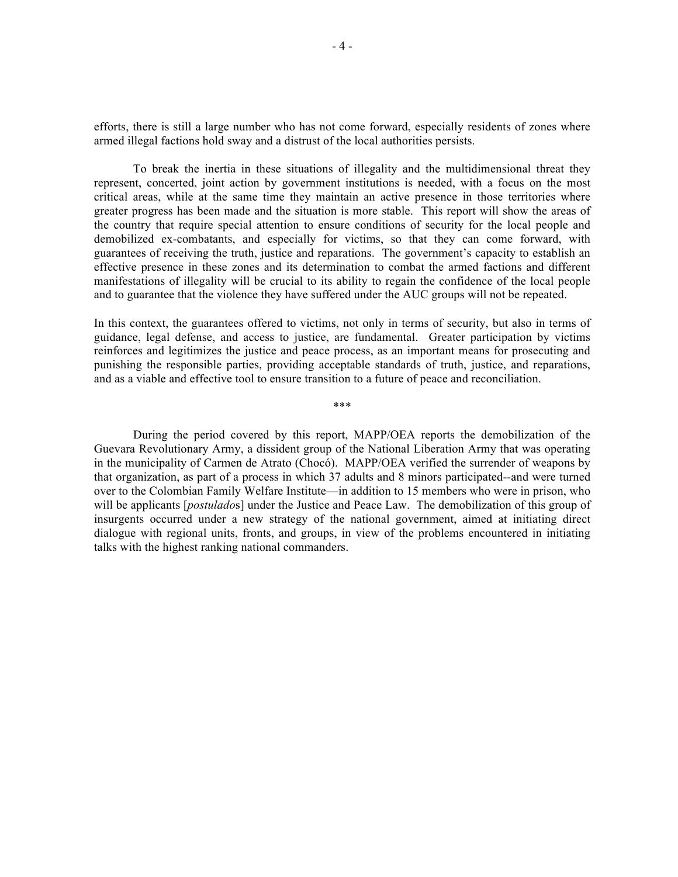efforts, there is still a large number who has not come forward, especially residents of zones where armed illegal factions hold sway and a distrust of the local authorities persists.

To break the inertia in these situations of illegality and the multidimensional threat they represent, concerted, joint action by government institutions is needed, with a focus on the most critical areas, while at the same time they maintain an active presence in those territories where greater progress has been made and the situation is more stable. This report will show the areas of the country that require special attention to ensure conditions of security for the local people and demobilized ex-combatants, and especially for victims, so that they can come forward, with guarantees of receiving the truth, justice and reparations. The government's capacity to establish an effective presence in these zones and its determination to combat the armed factions and different manifestations of illegality will be crucial to its ability to regain the confidence of the local people and to guarantee that the violence they have suffered under the AUC groups will not be repeated.

In this context, the guarantees offered to victims, not only in terms of security, but also in terms of guidance, legal defense, and access to justice, are fundamental. Greater participation by victims reinforces and legitimizes the justice and peace process, as an important means for prosecuting and punishing the responsible parties, providing acceptable standards of truth, justice, and reparations, and as a viable and effective tool to ensure transition to a future of peace and reconciliation.

\*\*\*

During the period covered by this report, MAPP/OEA reports the demobilization of the Guevara Revolutionary Army, a dissident group of the National Liberation Army that was operating in the municipality of Carmen de Atrato (Chocó). MAPP/OEA verified the surrender of weapons by that organization, as part of a process in which 37 adults and 8 minors participated--and were turned over to the Colombian Family Welfare Institute—in addition to 15 members who were in prison, who will be applicants [*postulado*s] under the Justice and Peace Law. The demobilization of this group of insurgents occurred under a new strategy of the national government, aimed at initiating direct dialogue with regional units, fronts, and groups, in view of the problems encountered in initiating talks with the highest ranking national commanders.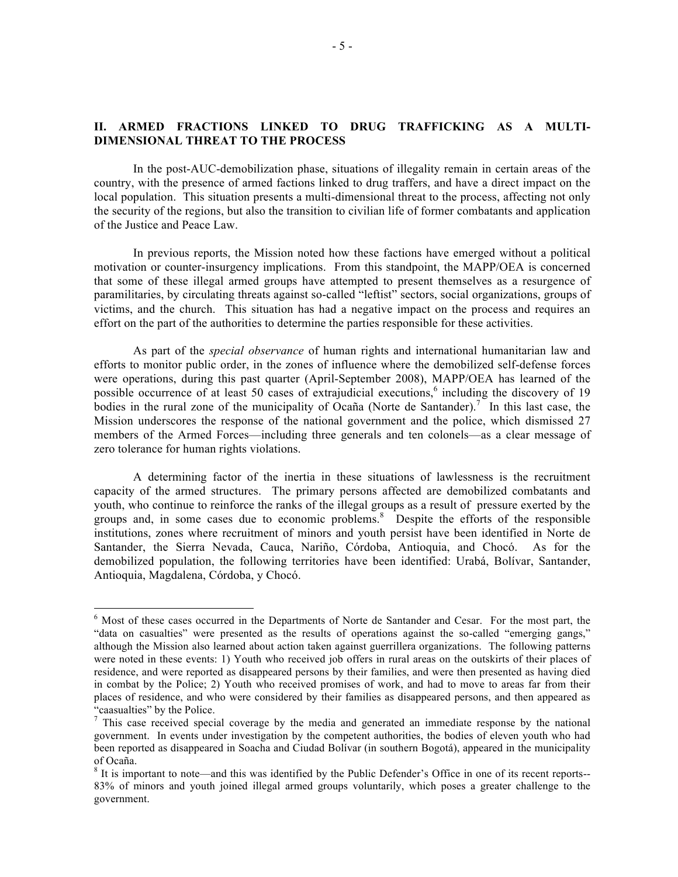# **II. ARMED FRACTIONS LINKED TO DRUG TRAFFICKING AS A MULTI-DIMENSIONAL THREAT TO THE PROCESS**

In the post-AUC-demobilization phase, situations of illegality remain in certain areas of the country, with the presence of armed factions linked to drug traffers, and have a direct impact on the local population. This situation presents a multi-dimensional threat to the process, affecting not only the security of the regions, but also the transition to civilian life of former combatants and application of the Justice and Peace Law.

In previous reports, the Mission noted how these factions have emerged without a political motivation or counter-insurgency implications. From this standpoint, the MAPP/OEA is concerned that some of these illegal armed groups have attempted to present themselves as a resurgence of paramilitaries, by circulating threats against so-called "leftist" sectors, social organizations, groups of victims, and the church. This situation has had a negative impact on the process and requires an effort on the part of the authorities to determine the parties responsible for these activities.

As part of the *special observance* of human rights and international humanitarian law and efforts to monitor public order, in the zones of influence where the demobilized self-defense forces were operations, during this past quarter (April-September 2008), MAPP/OEA has learned of the possible occurrence of at least 50 cases of extrajudicial executions,<sup>6</sup> including the discovery of 19 bodies in the rural zone of the municipality of Ocaña (Norte de Santander).<sup>7</sup> In this last case, the Mission underscores the response of the national government and the police, which dismissed 27 members of the Armed Forces—including three generals and ten colonels—as a clear message of zero tolerance for human rights violations.

A determining factor of the inertia in these situations of lawlessness is the recruitment capacity of the armed structures. The primary persons affected are demobilized combatants and youth, who continue to reinforce the ranks of the illegal groups as a result of pressure exerted by the groups and, in some cases due to economic problems.<sup>8</sup> Despite the efforts of the responsible institutions, zones where recruitment of minors and youth persist have been identified in Norte de Santander, the Sierra Nevada, Cauca, Nariño, Córdoba, Antioquia, and Chocó. As for the demobilized population, the following territories have been identified: Urabá, Bolívar, Santander, Antioquia, Magdalena, Córdoba, y Chocó.

 $\frac{1}{6}$ <sup>6</sup> Most of these cases occurred in the Departments of Norte de Santander and Cesar. For the most part, the "data on casualties" were presented as the results of operations against the so-called "emerging gangs," although the Mission also learned about action taken against guerrillera organizations. The following patterns were noted in these events: 1) Youth who received job offers in rural areas on the outskirts of their places of residence, and were reported as disappeared persons by their families, and were then presented as having died in combat by the Police; 2) Youth who received promises of work, and had to move to areas far from their places of residence, and who were considered by their families as disappeared persons, and then appeared as "caasualties" by the Police.

 $<sup>7</sup>$  This case received special coverage by the media and generated an immediate response by the national</sup> government. In events under investigation by the competent authorities, the bodies of eleven youth who had been reported as disappeared in Soacha and Ciudad Bolívar (in southern Bogotá), appeared in the municipality of Ocaña.

<sup>&</sup>lt;sup>8</sup> It is important to note—and this was identified by the Public Defender's Office in one of its recent reports--83% of minors and youth joined illegal armed groups voluntarily, which poses a greater challenge to the government.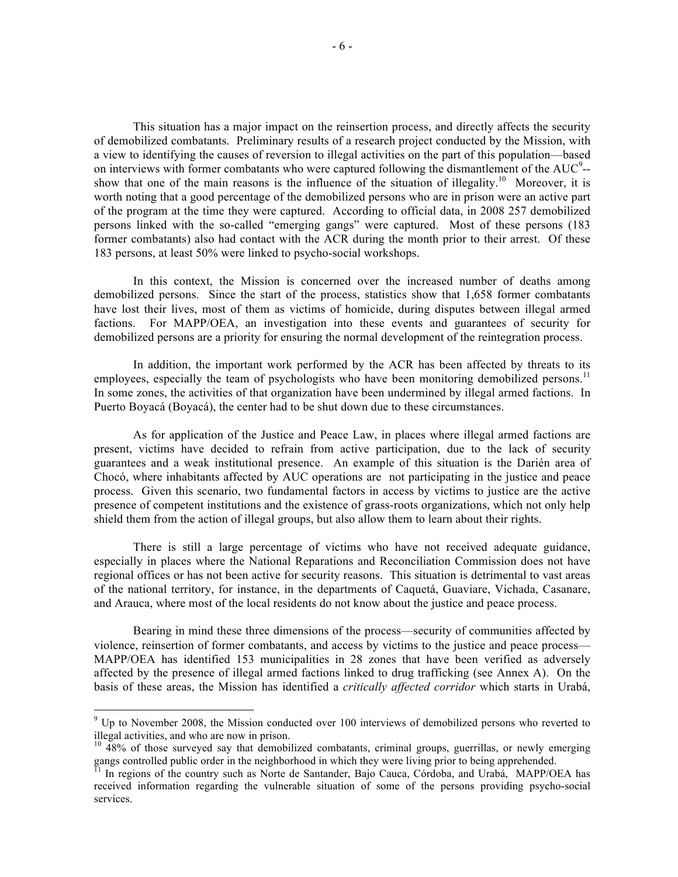This situation has a major impact on the reinsertion process, and directly affects the security of demobilized combatants. Preliminary results of a research project conducted by the Mission, with a view to identifying the causes of reversion to illegal activities on the part of this population—based on interviews with former combatants who were captured following the dismantlement of the  $AUC^{9}$ -show that one of the main reasons is the influence of the situation of illegality.<sup>10</sup> Moreover, it is worth noting that a good percentage of the demobilized persons who are in prison were an active part of the program at the time they were captured. According to official data, in 2008 257 demobilized persons linked with the so-called "emerging gangs" were captured. Most of these persons (183 former combatants) also had contact with the ACR during the month prior to their arrest. Of these 183 persons, at least 50% were linked to psycho-social workshops.

In this context, the Mission is concerned over the increased number of deaths among demobilized persons. Since the start of the process, statistics show that 1,658 former combatants have lost their lives, most of them as victims of homicide, during disputes between illegal armed factions. For MAPP/OEA, an investigation into these events and guarantees of security for demobilized persons are a priority for ensuring the normal development of the reintegration process.

In addition, the important work performed by the ACR has been affected by threats to its employees, especially the team of psychologists who have been monitoring demobilized persons.<sup>11</sup> In some zones, the activities of that organization have been undermined by illegal armed factions. In Puerto Boyacá (Boyacá), the center had to be shut down due to these circumstances.

As for application of the Justice and Peace Law, in places where illegal armed factions are present, victims have decided to refrain from active participation, due to the lack of security guarantees and a weak institutional presence. An example of this situation is the Darién area of Chocó, where inhabitants affected by AUC operations are not participating in the justice and peace process. Given this scenario, two fundamental factors in access by victims to justice are the active presence of competent institutions and the existence of grass-roots organizations, which not only help shield them from the action of illegal groups, but also allow them to learn about their rights.

There is still a large percentage of victims who have not received adequate guidance, especially in places where the National Reparations and Reconciliation Commission does not have regional offices or has not been active for security reasons. This situation is detrimental to vast areas of the national territory, for instance, in the departments of Caquetá, Guaviare, Vichada, Casanare, and Arauca, where most of the local residents do not know about the justice and peace process.

Bearing in mind these three dimensions of the process—security of communities affected by violence, reinsertion of former combatants, and access by victims to the justice and peace process— MAPP/OEA has identified 153 municipalities in 28 zones that have been verified as adversely affected by the presence of illegal armed factions linked to drug trafficking (see Annex A). On the basis of these areas, the Mission has identified a *critically affected corridor* which starts in Urabá,

<sup>–&</sup>lt;br>9 <sup>9</sup> Up to November 2008, the Mission conducted over 100 interviews of demobilized persons who reverted to illegal activities, and who are now in prison.

 $10\,48\%$  of those surveyed say that demobilized combatants, criminal groups, guerrillas, or newly emerging gangs controlled public order in the neighborhood in which they were living prior to being apprehended.

In regions of the country such as Norte de Santander, Bajo Cauca, Córdoba, and Urabá, MAPP/OEA has received information regarding the vulnerable situation of some of the persons providing psycho-social services.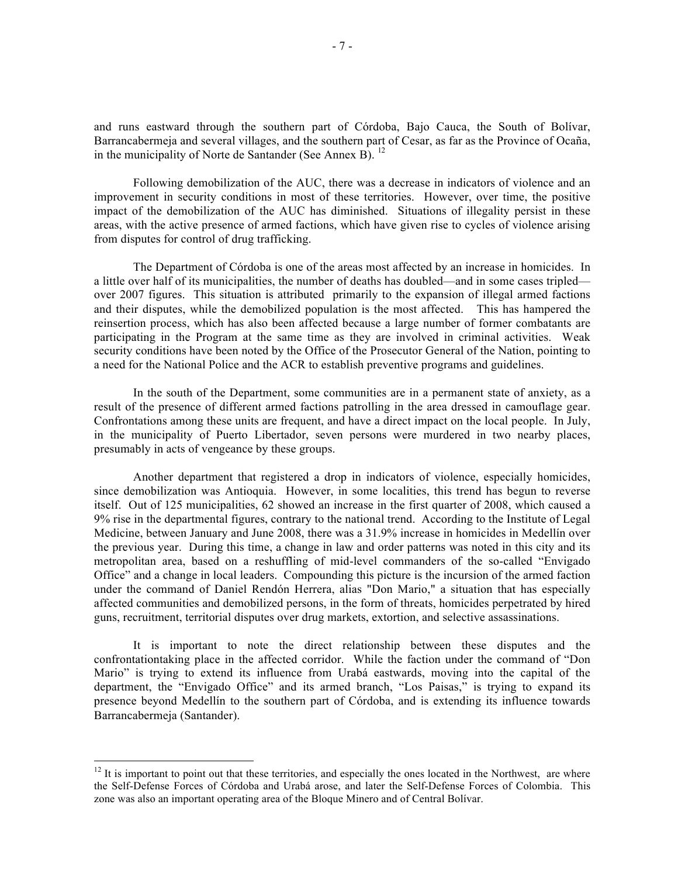and runs eastward through the southern part of Córdoba, Bajo Cauca, the South of Bolívar, Barrancabermeja and several villages, and the southern part of Cesar, as far as the Province of Ocaña, in the municipality of Norte de Santander (See Annex B). <sup>12</sup>

Following demobilization of the AUC, there was a decrease in indicators of violence and an improvement in security conditions in most of these territories. However, over time, the positive impact of the demobilization of the AUC has diminished. Situations of illegality persist in these areas, with the active presence of armed factions, which have given rise to cycles of violence arising from disputes for control of drug trafficking.

The Department of Córdoba is one of the areas most affected by an increase in homicides. In a little over half of its municipalities, the number of deaths has doubled—and in some cases tripled over 2007 figures. This situation is attributed primarily to the expansion of illegal armed factions and their disputes, while the demobilized population is the most affected. This has hampered the reinsertion process, which has also been affected because a large number of former combatants are participating in the Program at the same time as they are involved in criminal activities. Weak security conditions have been noted by the Office of the Prosecutor General of the Nation, pointing to a need for the National Police and the ACR to establish preventive programs and guidelines.

In the south of the Department, some communities are in a permanent state of anxiety, as a result of the presence of different armed factions patrolling in the area dressed in camouflage gear. Confrontations among these units are frequent, and have a direct impact on the local people. In July, in the municipality of Puerto Libertador, seven persons were murdered in two nearby places, presumably in acts of vengeance by these groups.

Another department that registered a drop in indicators of violence, especially homicides, since demobilization was Antioquia. However, in some localities, this trend has begun to reverse itself. Out of 125 municipalities, 62 showed an increase in the first quarter of 2008, which caused a 9% rise in the departmental figures, contrary to the national trend. According to the Institute of Legal Medicine, between January and June 2008, there was a 31.9% increase in homicides in Medellín over the previous year. During this time, a change in law and order patterns was noted in this city and its metropolitan area, based on a reshuffling of mid-level commanders of the so-called "Envigado Office" and a change in local leaders. Compounding this picture is the incursion of the armed faction under the command of Daniel Rendón Herrera, alias "Don Mario," a situation that has especially affected communities and demobilized persons, in the form of threats, homicides perpetrated by hired guns, recruitment, territorial disputes over drug markets, extortion, and selective assassinations.

It is important to note the direct relationship between these disputes and the confrontationtaking place in the affected corridor. While the faction under the command of "Don Mario" is trying to extend its influence from Urabá eastwards, moving into the capital of the department, the "Envigado Office" and its armed branch, "Los Paisas," is trying to expand its presence beyond Medellín to the southern part of Córdoba, and is extending its influence towards Barrancabermeja (Santander).

 $12$  It is important to point out that these territories, and especially the ones located in the Northwest, are where the Self-Defense Forces of Córdoba and Urabá arose, and later the Self-Defense Forces of Colombia. This zone was also an important operating area of the Bloque Minero and of Central Bolívar.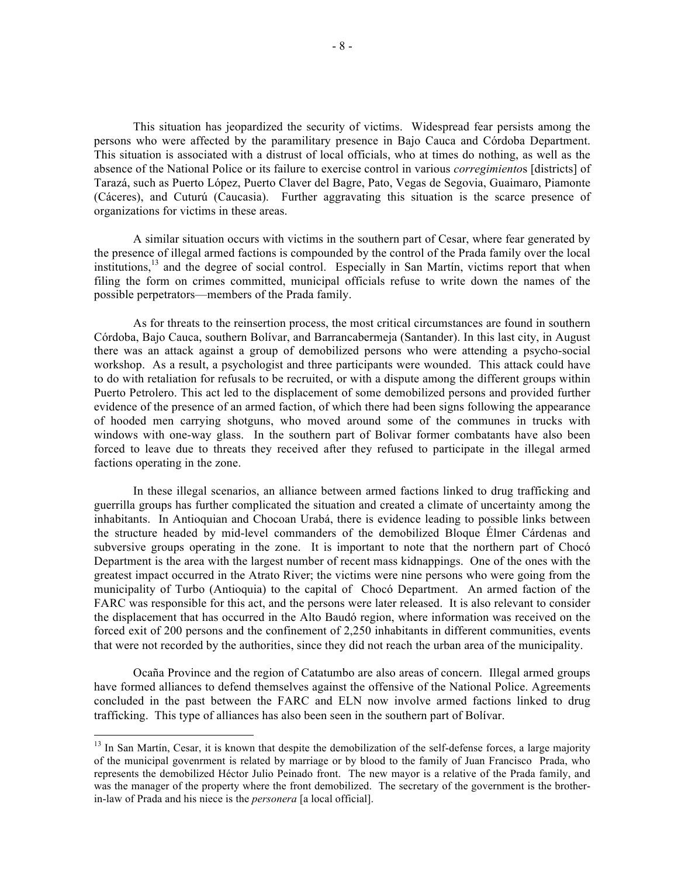This situation has jeopardized the security of victims. Widespread fear persists among the persons who were affected by the paramilitary presence in Bajo Cauca and Córdoba Department. This situation is associated with a distrust of local officials, who at times do nothing, as well as the absence of the National Police or its failure to exercise control in various *corregimiento*s [districts] of Tarazá, such as Puerto López, Puerto Claver del Bagre, Pato, Vegas de Segovia, Guaimaro, Piamonte (Cáceres), and Cuturú (Caucasia). Further aggravating this situation is the scarce presence of organizations for victims in these areas.

A similar situation occurs with victims in the southern part of Cesar, where fear generated by the presence of illegal armed factions is compounded by the control of the Prada family over the local institutions,<sup>13</sup> and the degree of social control. Especially in San Martín, victims report that when filing the form on crimes committed, municipal officials refuse to write down the names of the possible perpetrators—members of the Prada family.

As for threats to the reinsertion process, the most critical circumstances are found in southern Córdoba, Bajo Cauca, southern Bolívar, and Barrancabermeja (Santander). In this last city, in August there was an attack against a group of demobilized persons who were attending a psycho-social workshop. As a result, a psychologist and three participants were wounded. This attack could have to do with retaliation for refusals to be recruited, or with a dispute among the different groups within Puerto Petrolero. This act led to the displacement of some demobilized persons and provided further evidence of the presence of an armed faction, of which there had been signs following the appearance of hooded men carrying shotguns, who moved around some of the communes in trucks with windows with one-way glass. In the southern part of Bolivar former combatants have also been forced to leave due to threats they received after they refused to participate in the illegal armed factions operating in the zone.

In these illegal scenarios, an alliance between armed factions linked to drug trafficking and guerrilla groups has further complicated the situation and created a climate of uncertainty among the inhabitants. In Antioquian and Chocoan Urabá, there is evidence leading to possible links between the structure headed by mid-level commanders of the demobilized Bloque Élmer Cárdenas and subversive groups operating in the zone. It is important to note that the northern part of Chocó Department is the area with the largest number of recent mass kidnappings. One of the ones with the greatest impact occurred in the Atrato River; the victims were nine persons who were going from the municipality of Turbo (Antioquia) to the capital of Chocó Department. An armed faction of the FARC was responsible for this act, and the persons were later released. It is also relevant to consider the displacement that has occurred in the Alto Baudó region, where information was received on the forced exit of 200 persons and the confinement of 2,250 inhabitants in different communities, events that were not recorded by the authorities, since they did not reach the urban area of the municipality.

Ocaña Province and the region of Catatumbo are also areas of concern. Illegal armed groups have formed alliances to defend themselves against the offensive of the National Police. Agreements concluded in the past between the FARC and ELN now involve armed factions linked to drug trafficking. This type of alliances has also been seen in the southern part of Bolívar.

 $<sup>13</sup>$  In San Martín, Cesar, it is known that despite the demobilization of the self-defense forces, a large majority</sup> of the municipal govenrment is related by marriage or by blood to the family of Juan Francisco Prada, who represents the demobilized Héctor Julio Peinado front. The new mayor is a relative of the Prada family, and was the manager of the property where the front demobilized. The secretary of the government is the brotherin-law of Prada and his niece is the *personera* [a local official].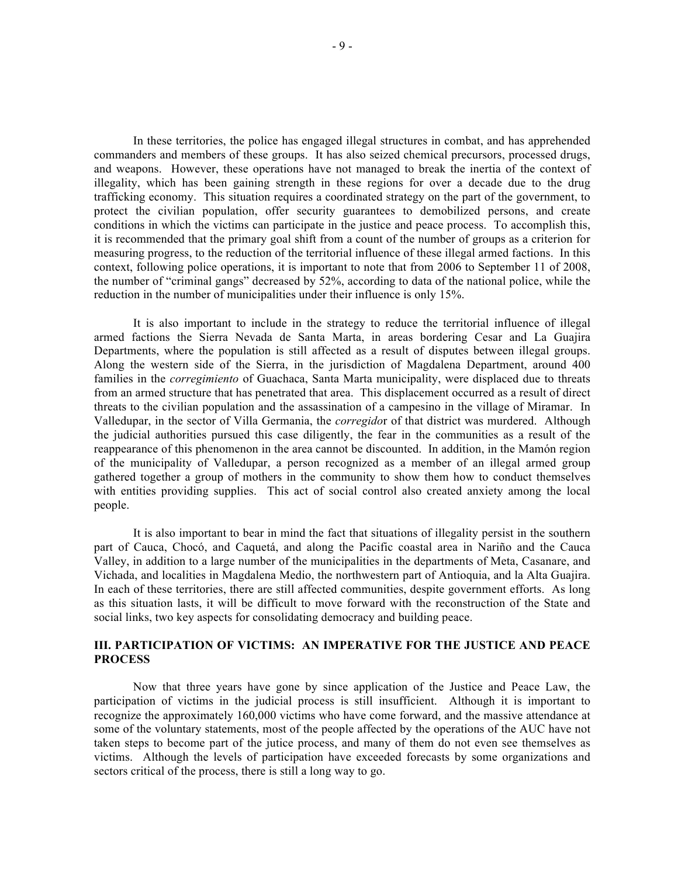In these territories, the police has engaged illegal structures in combat, and has apprehended commanders and members of these groups. It has also seized chemical precursors, processed drugs, and weapons. However, these operations have not managed to break the inertia of the context of illegality, which has been gaining strength in these regions for over a decade due to the drug trafficking economy. This situation requires a coordinated strategy on the part of the government, to protect the civilian population, offer security guarantees to demobilized persons, and create conditions in which the victims can participate in the justice and peace process. To accomplish this, it is recommended that the primary goal shift from a count of the number of groups as a criterion for measuring progress, to the reduction of the territorial influence of these illegal armed factions. In this context, following police operations, it is important to note that from 2006 to September 11 of 2008, the number of "criminal gangs" decreased by 52%, according to data of the national police, while the reduction in the number of municipalities under their influence is only 15%.

It is also important to include in the strategy to reduce the territorial influence of illegal armed factions the Sierra Nevada de Santa Marta, in areas bordering Cesar and La Guajira Departments, where the population is still affected as a result of disputes between illegal groups. Along the western side of the Sierra, in the jurisdiction of Magdalena Department, around 400 families in the *corregimiento* of Guachaca, Santa Marta municipality, were displaced due to threats from an armed structure that has penetrated that area. This displacement occurred as a result of direct threats to the civilian population and the assassination of a campesino in the village of Miramar. In Valledupar, in the sector of Villa Germania, the *corregido*r of that district was murdered. Although the judicial authorities pursued this case diligently, the fear in the communities as a result of the reappearance of this phenomenon in the area cannot be discounted. In addition, in the Mamón region of the municipality of Valledupar, a person recognized as a member of an illegal armed group gathered together a group of mothers in the community to show them how to conduct themselves with entities providing supplies. This act of social control also created anxiety among the local people.

It is also important to bear in mind the fact that situations of illegality persist in the southern part of Cauca, Chocó, and Caquetá, and along the Pacific coastal area in Nariño and the Cauca Valley, in addition to a large number of the municipalities in the departments of Meta, Casanare, and Vichada, and localities in Magdalena Medio, the northwestern part of Antioquia, and la Alta Guajira. In each of these territories, there are still affected communities, despite government efforts. As long as this situation lasts, it will be difficult to move forward with the reconstruction of the State and social links, two key aspects for consolidating democracy and building peace.

# **III. PARTICIPATION OF VICTIMS: AN IMPERATIVE FOR THE JUSTICE AND PEACE PROCESS**

Now that three years have gone by since application of the Justice and Peace Law, the participation of victims in the judicial process is still insufficient. Although it is important to recognize the approximately 160,000 victims who have come forward, and the massive attendance at some of the voluntary statements, most of the people affected by the operations of the AUC have not taken steps to become part of the jutice process, and many of them do not even see themselves as victims. Although the levels of participation have exceeded forecasts by some organizations and sectors critical of the process, there is still a long way to go.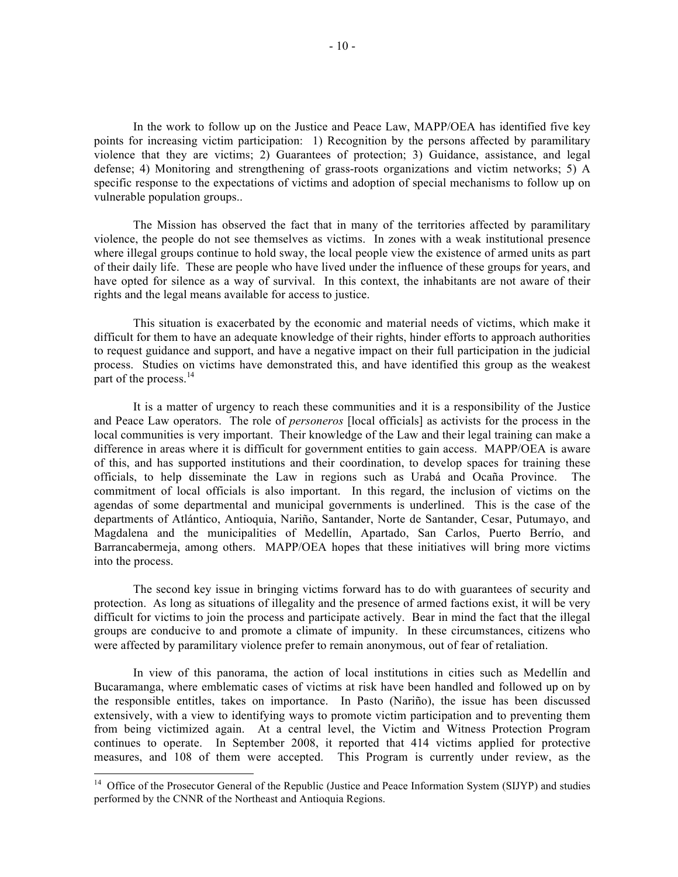In the work to follow up on the Justice and Peace Law, MAPP/OEA has identified five key points for increasing victim participation: 1) Recognition by the persons affected by paramilitary violence that they are victims; 2) Guarantees of protection; 3) Guidance, assistance, and legal defense; 4) Monitoring and strengthening of grass-roots organizations and victim networks; 5) A specific response to the expectations of victims and adoption of special mechanisms to follow up on vulnerable population groups..

The Mission has observed the fact that in many of the territories affected by paramilitary violence, the people do not see themselves as victims. In zones with a weak institutional presence where illegal groups continue to hold sway, the local people view the existence of armed units as part of their daily life. These are people who have lived under the influence of these groups for years, and have opted for silence as a way of survival. In this context, the inhabitants are not aware of their rights and the legal means available for access to justice.

This situation is exacerbated by the economic and material needs of victims, which make it difficult for them to have an adequate knowledge of their rights, hinder efforts to approach authorities to request guidance and support, and have a negative impact on their full participation in the judicial process. Studies on victims have demonstrated this, and have identified this group as the weakest part of the process.<sup>14</sup>

It is a matter of urgency to reach these communities and it is a responsibility of the Justice and Peace Law operators. The role of *personeros* [local officials] as activists for the process in the local communities is very important. Their knowledge of the Law and their legal training can make a difference in areas where it is difficult for government entities to gain access. MAPP/OEA is aware of this, and has supported institutions and their coordination, to develop spaces for training these officials, to help disseminate the Law in regions such as Urabá and Ocaña Province. The commitment of local officials is also important. In this regard, the inclusion of victims on the agendas of some departmental and municipal governments is underlined. This is the case of the departments of Atlántico, Antioquia, Nariño, Santander, Norte de Santander, Cesar, Putumayo, and Magdalena and the municipalities of Medellín, Apartado, San Carlos, Puerto Berrío, and Barrancabermeja, among others. MAPP/OEA hopes that these initiatives will bring more victims into the process.

The second key issue in bringing victims forward has to do with guarantees of security and protection. As long as situations of illegality and the presence of armed factions exist, it will be very difficult for victims to join the process and participate actively. Bear in mind the fact that the illegal groups are conducive to and promote a climate of impunity. In these circumstances, citizens who were affected by paramilitary violence prefer to remain anonymous, out of fear of retaliation.

In view of this panorama, the action of local institutions in cities such as Medellín and Bucaramanga, where emblematic cases of victims at risk have been handled and followed up on by the responsible entitles, takes on importance. In Pasto (Nariño), the issue has been discussed extensively, with a view to identifying ways to promote victim participation and to preventing them from being victimized again. At a central level, the Victim and Witness Protection Program continues to operate. In September 2008, it reported that 414 victims applied for protective measures, and 108 of them were accepted. This Program is currently under review, as the

<sup>&</sup>lt;sup>14</sup> Office of the Prosecutor General of the Republic (Justice and Peace Information System (SIJYP) and studies performed by the CNNR of the Northeast and Antioquia Regions.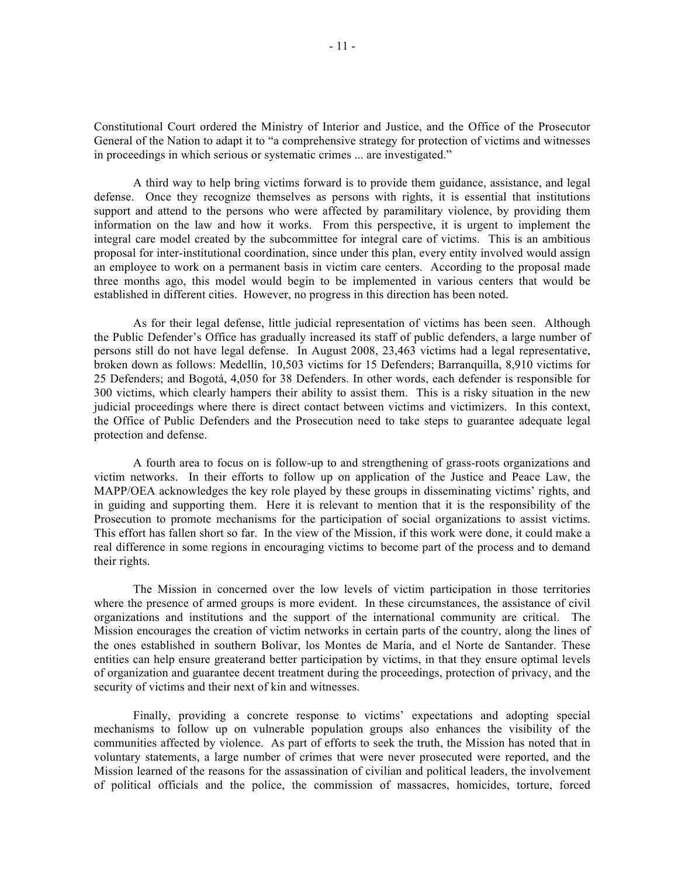Constitutional Court ordered the Ministry of Interior and Justice, and the Office of the Prosecutor General of the Nation to adapt it to "a comprehensive strategy for protection of victims and witnesses in proceedings in which serious or systematic crimes ... are investigated."

A third way to help bring victims forward is to provide them guidance, assistance, and legal defense. Once they recognize themselves as persons with rights, it is essential that institutions support and attend to the persons who were affected by paramilitary violence, by providing them information on the law and how it works. From this perspective, it is urgent to implement the integral care model created by the subcommittee for integral care of victims. This is an ambitious proposal for inter-institutional coordination, since under this plan, every entity involved would assign an employee to work on a permanent basis in victim care centers. According to the proposal made three months ago, this model would begin to be implemented in various centers that would be established in different cities. However, no progress in this direction has been noted.

As for their legal defense, little judicial representation of victims has been seen. Although the Public Defender's Office has gradually increased its staff of public defenders, a large number of persons still do not have legal defense. In August 2008, 23,463 victims had a legal representative, broken down as follows: Medellín, 10,503 victims for 15 Defenders; Barranquilla, 8,910 victims for 25 Defenders; and Bogotá, 4,050 for 38 Defenders. In other words, each defender is responsible for 300 victims, which clearly hampers their ability to assist them. This is a risky situation in the new judicial proceedings where there is direct contact between victims and victimizers. In this context, the Office of Public Defenders and the Prosecution need to take steps to guarantee adequate legal protection and defense.

A fourth area to focus on is follow-up to and strengthening of grass-roots organizations and victim networks. In their efforts to follow up on application of the Justice and Peace Law, the MAPP/OEA acknowledges the key role played by these groups in disseminating victims' rights, and in guiding and supporting them. Here it is relevant to mention that it is the responsibility of the Prosecution to promote mechanisms for the participation of social organizations to assist victims. This effort has fallen short so far. In the view of the Mission, if this work were done, it could make a real difference in some regions in encouraging victims to become part of the process and to demand their rights.

The Mission in concerned over the low levels of victim participation in those territories where the presence of armed groups is more evident. In these circumstances, the assistance of civil organizations and institutions and the support of the international community are critical. The Mission encourages the creation of victim networks in certain parts of the country, along the lines of the ones established in southern Bolívar, los Montes de María, and el Norte de Santander. These entities can help ensure greaterand better participation by victims, in that they ensure optimal levels of organization and guarantee decent treatment during the proceedings, protection of privacy, and the security of victims and their next of kin and witnesses.

Finally, providing a concrete response to victims' expectations and adopting special mechanisms to follow up on vulnerable population groups also enhances the visibility of the communities affected by violence. As part of efforts to seek the truth, the Mission has noted that in voluntary statements, a large number of crimes that were never prosecuted were reported, and the Mission learned of the reasons for the assassination of civilian and political leaders, the involvement of political officials and the police, the commission of massacres, homicides, torture, forced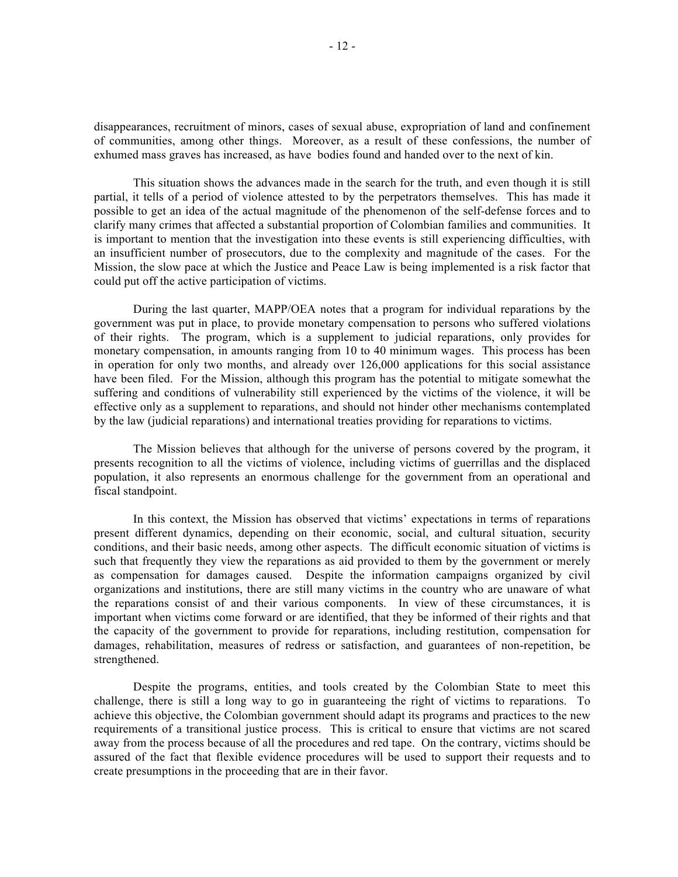disappearances, recruitment of minors, cases of sexual abuse, expropriation of land and confinement of communities, among other things. Moreover, as a result of these confessions, the number of exhumed mass graves has increased, as have bodies found and handed over to the next of kin.

This situation shows the advances made in the search for the truth, and even though it is still partial, it tells of a period of violence attested to by the perpetrators themselves. This has made it possible to get an idea of the actual magnitude of the phenomenon of the self-defense forces and to clarify many crimes that affected a substantial proportion of Colombian families and communities. It is important to mention that the investigation into these events is still experiencing difficulties, with an insufficient number of prosecutors, due to the complexity and magnitude of the cases. For the Mission, the slow pace at which the Justice and Peace Law is being implemented is a risk factor that could put off the active participation of victims.

During the last quarter, MAPP/OEA notes that a program for individual reparations by the government was put in place, to provide monetary compensation to persons who suffered violations of their rights. The program, which is a supplement to judicial reparations, only provides for monetary compensation, in amounts ranging from 10 to 40 minimum wages. This process has been in operation for only two months, and already over 126,000 applications for this social assistance have been filed. For the Mission, although this program has the potential to mitigate somewhat the suffering and conditions of vulnerability still experienced by the victims of the violence, it will be effective only as a supplement to reparations, and should not hinder other mechanisms contemplated by the law (judicial reparations) and international treaties providing for reparations to victims.

The Mission believes that although for the universe of persons covered by the program, it presents recognition to all the victims of violence, including victims of guerrillas and the displaced population, it also represents an enormous challenge for the government from an operational and fiscal standpoint.

In this context, the Mission has observed that victims' expectations in terms of reparations present different dynamics, depending on their economic, social, and cultural situation, security conditions, and their basic needs, among other aspects. The difficult economic situation of victims is such that frequently they view the reparations as aid provided to them by the government or merely as compensation for damages caused. Despite the information campaigns organized by civil organizations and institutions, there are still many victims in the country who are unaware of what the reparations consist of and their various components. In view of these circumstances, it is important when victims come forward or are identified, that they be informed of their rights and that the capacity of the government to provide for reparations, including restitution, compensation for damages, rehabilitation, measures of redress or satisfaction, and guarantees of non-repetition, be strengthened.

Despite the programs, entities, and tools created by the Colombian State to meet this challenge, there is still a long way to go in guaranteeing the right of victims to reparations. To achieve this objective, the Colombian government should adapt its programs and practices to the new requirements of a transitional justice process. This is critical to ensure that victims are not scared away from the process because of all the procedures and red tape. On the contrary, victims should be assured of the fact that flexible evidence procedures will be used to support their requests and to create presumptions in the proceeding that are in their favor.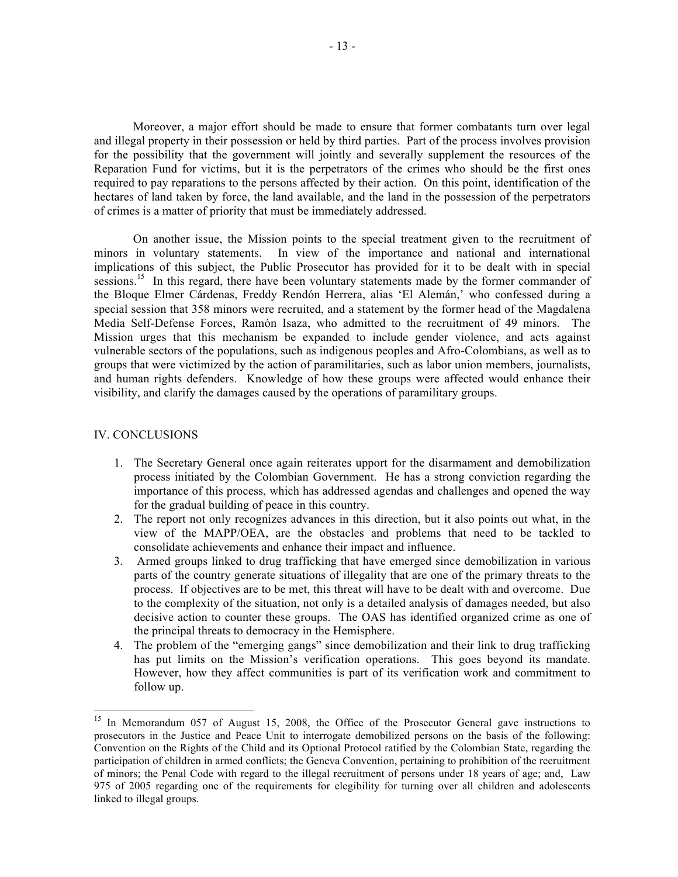Moreover, a major effort should be made to ensure that former combatants turn over legal and illegal property in their possession or held by third parties. Part of the process involves provision for the possibility that the government will jointly and severally supplement the resources of the Reparation Fund for victims, but it is the perpetrators of the crimes who should be the first ones required to pay reparations to the persons affected by their action. On this point, identification of the hectares of land taken by force, the land available, and the land in the possession of the perpetrators of crimes is a matter of priority that must be immediately addressed.

On another issue, the Mission points to the special treatment given to the recruitment of minors in voluntary statements. In view of the importance and national and international implications of this subject, the Public Prosecutor has provided for it to be dealt with in special sessions.<sup>15</sup> In this regard, there have been voluntary statements made by the former commander of the Bloque Elmer Cárdenas, Freddy Rendón Herrera, alias 'El Alemán,' who confessed during a special session that 358 minors were recruited, and a statement by the former head of the Magdalena Media Self-Defense Forces, Ramón Isaza, who admitted to the recruitment of 49 minors. The Mission urges that this mechanism be expanded to include gender violence, and acts against vulnerable sectors of the populations, such as indigenous peoples and Afro-Colombians, as well as to groups that were victimized by the action of paramilitaries, such as labor union members, journalists, and human rights defenders. Knowledge of how these groups were affected would enhance their visibility, and clarify the damages caused by the operations of paramilitary groups.

#### IV. CONCLUSIONS

- 1. The Secretary General once again reiterates upport for the disarmament and demobilization process initiated by the Colombian Government. He has a strong conviction regarding the importance of this process, which has addressed agendas and challenges and opened the way for the gradual building of peace in this country.
- 2. The report not only recognizes advances in this direction, but it also points out what, in the view of the MAPP/OEA, are the obstacles and problems that need to be tackled to consolidate achievements and enhance their impact and influence.
- 3. Armed groups linked to drug trafficking that have emerged since demobilization in various parts of the country generate situations of illegality that are one of the primary threats to the process. If objectives are to be met, this threat will have to be dealt with and overcome. Due to the complexity of the situation, not only is a detailed analysis of damages needed, but also decisive action to counter these groups. The OAS has identified organized crime as one of the principal threats to democracy in the Hemisphere.
- 4. The problem of the "emerging gangs" since demobilization and their link to drug trafficking has put limits on the Mission's verification operations. This goes beyond its mandate. However, how they affect communities is part of its verification work and commitment to follow up.

<sup>&</sup>lt;sup>15</sup> In Memorandum 057 of August 15, 2008, the Office of the Prosecutor General gave instructions to prosecutors in the Justice and Peace Unit to interrogate demobilized persons on the basis of the following: Convention on the Rights of the Child and its Optional Protocol ratified by the Colombian State, regarding the participation of children in armed conflicts; the Geneva Convention, pertaining to prohibition of the recruitment of minors; the Penal Code with regard to the illegal recruitment of persons under 18 years of age; and, Law 975 of 2005 regarding one of the requirements for elegibility for turning over all children and adolescents linked to illegal groups.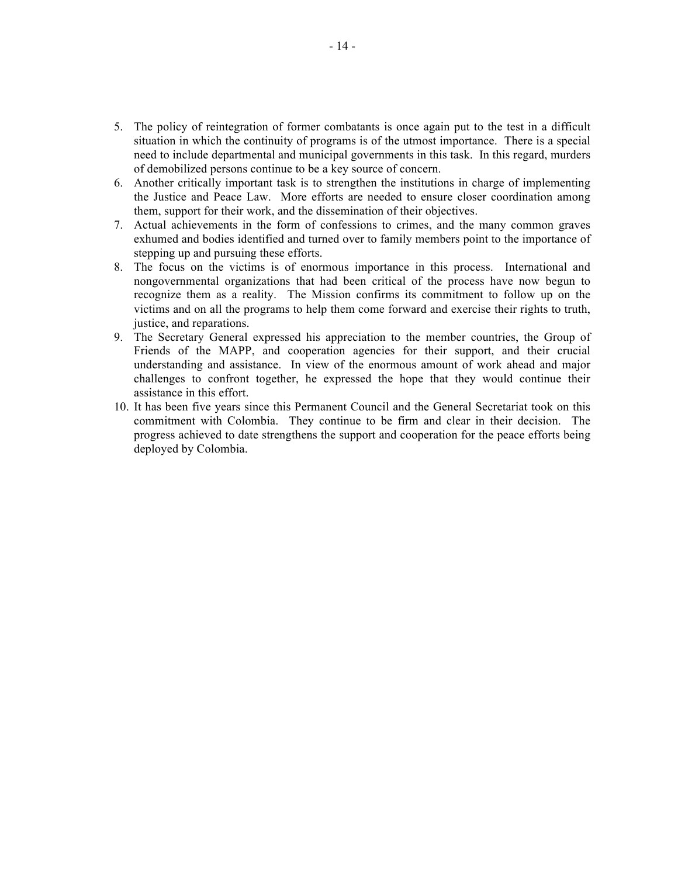- 5. The policy of reintegration of former combatants is once again put to the test in a difficult situation in which the continuity of programs is of the utmost importance. There is a special need to include departmental and municipal governments in this task. In this regard, murders of demobilized persons continue to be a key source of concern.
- 6. Another critically important task is to strengthen the institutions in charge of implementing the Justice and Peace Law. More efforts are needed to ensure closer coordination among them, support for their work, and the dissemination of their objectives.
- 7. Actual achievements in the form of confessions to crimes, and the many common graves exhumed and bodies identified and turned over to family members point to the importance of stepping up and pursuing these efforts.
- 8. The focus on the victims is of enormous importance in this process. International and nongovernmental organizations that had been critical of the process have now begun to recognize them as a reality. The Mission confirms its commitment to follow up on the victims and on all the programs to help them come forward and exercise their rights to truth, justice, and reparations.
- 9. The Secretary General expressed his appreciation to the member countries, the Group of Friends of the MAPP, and cooperation agencies for their support, and their crucial understanding and assistance. In view of the enormous amount of work ahead and major challenges to confront together, he expressed the hope that they would continue their assistance in this effort.
- 10. It has been five years since this Permanent Council and the General Secretariat took on this commitment with Colombia. They continue to be firm and clear in their decision. The progress achieved to date strengthens the support and cooperation for the peace efforts being deployed by Colombia.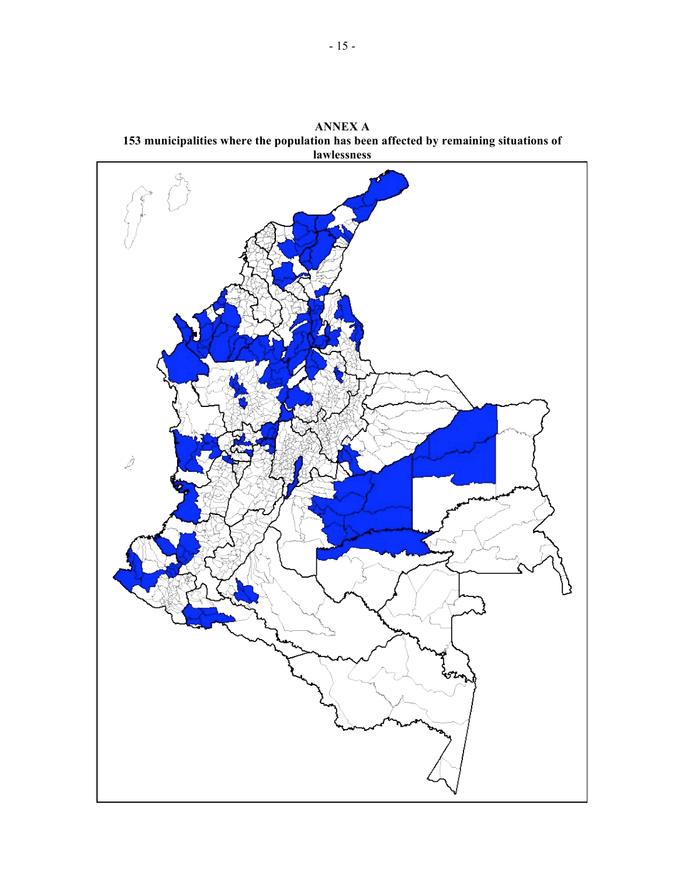

**ANNEX A 153 municipalities where the population has been affected by remaining situations of**